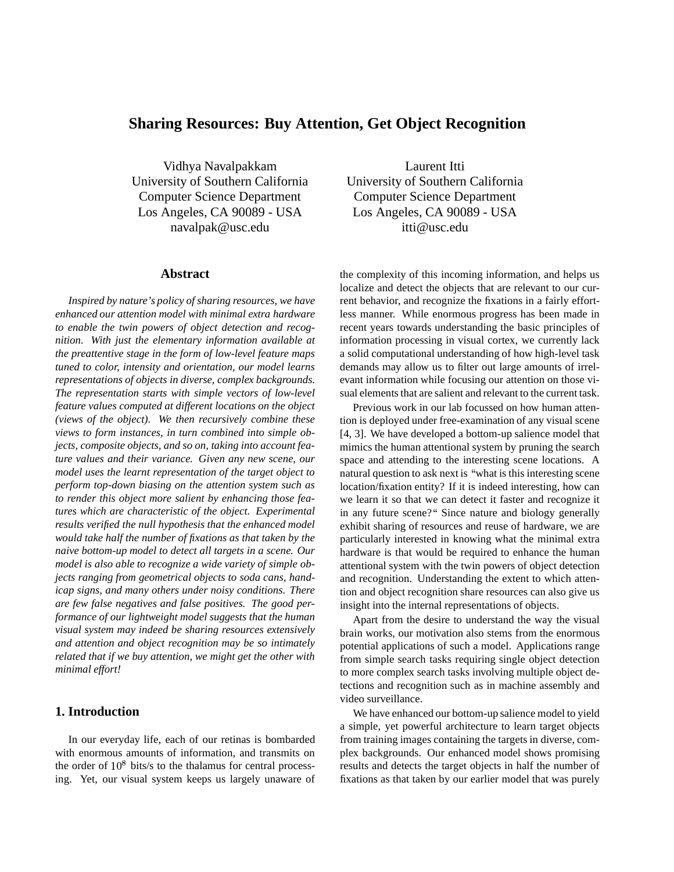# **Sharing Resources: Buy Attention, Get Object Recognition**

Vidhya Navalpakkam University of Southern California Computer Science Department Los Angeles, CA 90089 - USA navalpak@usc.edu

### **Abstract**

*Inspired by nature's policy of sharing resources, we have enhanced our attention model with minimal extra hardware to enable the twin powers of object detection and recognition. With just the elementary information available at the preattentive stage in the form of low-level feature maps tuned to color, intensity and orientation, our model learns representations of objects in diverse, complex backgrounds. The representation starts with simple vectors of low-level feature values computed at different locations on the object (views of the object). We then recursively combine these views to form instances, in turn combined into simple objects, composite objects, and so on, taking into account feature values and their variance. Given any new scene, our model uses the learnt representation of the target object to perform top-down biasing on the attention system such as to render this object more salient by enhancing those features which are characteristic of the object. Experimental results verified the null hypothesis that the enhanced model would take half the number of fixations as that taken by the naive bottom-up model to detect all targets in a scene. Our model is also able to recognize a wide variety of simple objects ranging from geometrical objects to soda cans, handicap signs, and many others under noisy conditions. There are few false negatives and false positives. The good performance of our lightweight model suggests that the human visual system may indeed be sharing resources extensively and attention and object recognition may be so intimately related that if we buy attention, we might get the other with minimal effort!*

# **1. Introduction**

In our everyday life, each of our retinas is bombarded with enormous amounts of information, and transmits on the order of  $10<sup>8</sup>$  bits/s to the thalamus for central processing. Yet, our visual system keeps us largely unaware of

Laurent Itti University of Southern California Computer Science Department Los Angeles, CA 90089 - USA itti@usc.edu

the complexity of this incoming information, and helps us localize and detect the objects that are relevant to our current behavior, and recognize the fixations in a fairly effortless manner. While enormous progress has been made in recent years towards understanding the basic principles of information processing in visual cortex, we currently lack a solid computational understanding of how high-level task demands may allow us to filter out large amounts of irrelevant information while focusing our attention on those visual elements that are salient and relevant to the current task.

Previous work in our lab focussed on how human attention is deployed under free-examination of any visual scene [4, 3]. We have developed a bottom-up salience model that mimics the human attentional system by pruning the search space and attending to the interesting scene locations. A natural question to ask next is "what is this interesting scene" location/fixation entity? If it is indeed interesting, how can we learn it so that we can detect it faster and recognize it in any future scene?" Since nature and biology generally exhibit sharing of resources and reuse of hardware, we are particularly interested in knowing what the minimal extra hardware is that would be required to enhance the human attentional system with the twin powers of object detection and recognition. Understanding the extent to which attention and object recognition share resources can also give us insight into the internal representations of objects.

Apart from the desire to understand the way the visual brain works, our motivation also stems from the enormous potential applications of such a model. Applications range from simple search tasks requiring single object detection to more complex search tasks involving multiple object detections and recognition such as in machine assembly and video surveillance.

We have enhanced our bottom-up salience model to yield a simple, yet powerful architecture to learn target objects from training images containing the targets in diverse, complex backgrounds. Our enhanced model shows promising results and detects the target objects in half the number of fixations as that taken by our earlier model that was purely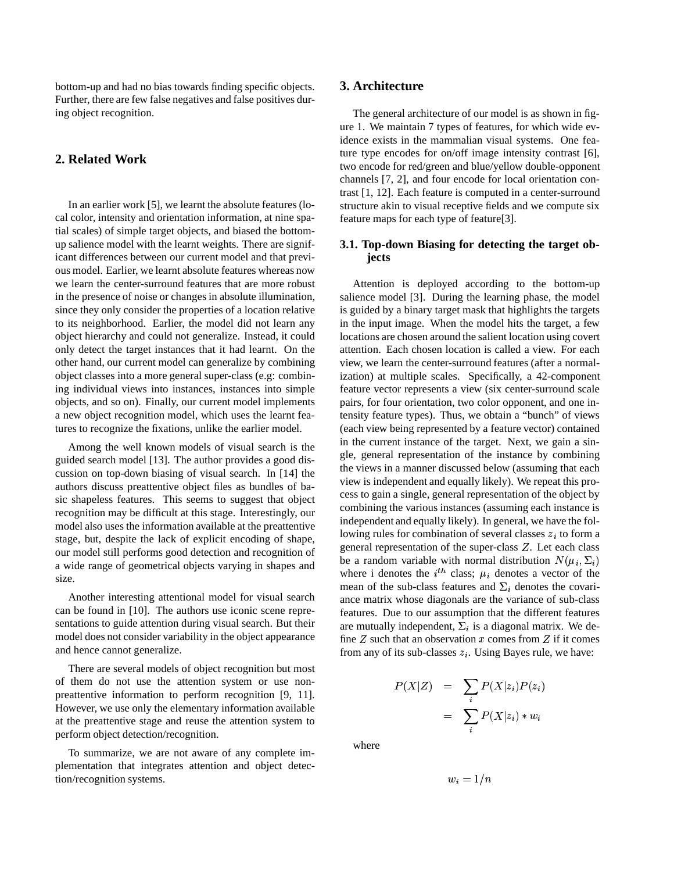bottom-up and had no bias towards finding specific objects. Further, there are few false negatives and false positives during object recognition.

# **2. Related Work**

In an earlier work [5], we learnt the absolute features (local color, intensity and orientation information, at nine spatial scales) of simple target objects, and biased the bottomup salience model with the learnt weights. There are significant differences between our current model and that previous model. Earlier, we learnt absolute features whereas now we learn the center-surround features that are more robust in the presence of noise or changes in absolute illumination, since they only consider the properties of a location relative to its neighborhood. Earlier, the model did not learn any object hierarchy and could not generalize. Instead, it could only detect the target instances that it had learnt. On the other hand, our current model can generalize by combining object classes into a more general super-class (e.g: combining individual views into instances, instances into simple objects, and so on). Finally, our current model implements a new object recognition model, which uses the learnt features to recognize the fixations, unlike the earlier model.

Among the well known models of visual search is the guided search model [13]. The author provides a good discussion on top-down biasing of visual search. In [14] the authors discuss preattentive object files as bundles of basic shapeless features. This seems to suggest that object recognition may be difficult at this stage. Interestingly, our model also uses the information available at the preattentive stage, but, despite the lack of explicit encoding of shape, our model still performs good detection and recognition of a wide range of geometrical objects varying in shapes and size.

Another interesting attentional model for visual search can be found in [10]. The authors use iconic scene representations to guide attention during visual search. But their model does not consider variability in the object appearance and hence cannot generalize.

There are several models of object recognition but most of them do not use the attention system or use nonpreattentive information to perform recognition [9, 11]. However, we use only the elementary information available at the preattentive stage and reuse the attention system to perform object detection/recognition.

To summarize, we are not aware of any complete implementation that integrates attention and object detection/recognition systems.

# **3. Architecture**

The general architecture of our model is as shown in figure 1. We maintain 7 types of features, for which wide evidence exists in the mammalian visual systems. One feature type encodes for on/off image intensity contrast [6], two encode for red/green and blue/yellow double-opponent channels [7, 2], and four encode for local orientation contrast [1, 12]. Each feature is computed in a center-surround structure akin to visual receptive fields and we compute six feature maps for each type of feature[3].

### **3.1. Top-down Biasing for detecting the target objects**

Attention is deployed according to the bottom-up salience model [3]. During the learning phase, the model is guided by a binary target mask that highlights the targets in the input image. When the model hits the target, a few locations are chosen around the salient location using covert attention. Each chosen location is called a view. For each view, we learn the center-surround features (after a normalization) at multiple scales. Specifically, a 42-component feature vector represents a view (six center-surround scale pairs, for four orientation, two color opponent, and one intensity feature types). Thus, we obtain a "bunch" of views (each view being represented by a feature vector) contained in the current instance of the target. Next, we gain a single, general representation of the instance by combining the views in a manner discussed below (assuming that each view is independent and equally likely). We repeat this process to gain a single, general representation of the object by combining the various instances (assuming each instance is independent and equally likely). In general, we have the following rules for combination of several classes  $z_i$  to form a general representation of the super-class  $Z$ . Let each class be a random variable with normal distribution  $N(\mu_i, \Sigma_i)$ where i denotes the  $i^{th}$  class;  $\mu_i$  denotes a vector of the mean of the sub-class features and  $\Sigma_i$  denotes the covariance matrix whose diagonals are the variance of sub-class features. Due to our assumption that the different features are mutually independent,  $\Sigma_i$  is a diagonal matrix. We define  $Z$  such that an observation  $x$  comes from  $Z$  if it comes from any of its sub-classes  $z_i$ . Using Bayes rule, we have:

$$
P(X|Z) = \sum_{i} P(X|z_i)P(z_i)
$$

$$
= \sum_{i} P(X|z_i) * w_i
$$

where

 $w_i=1/n$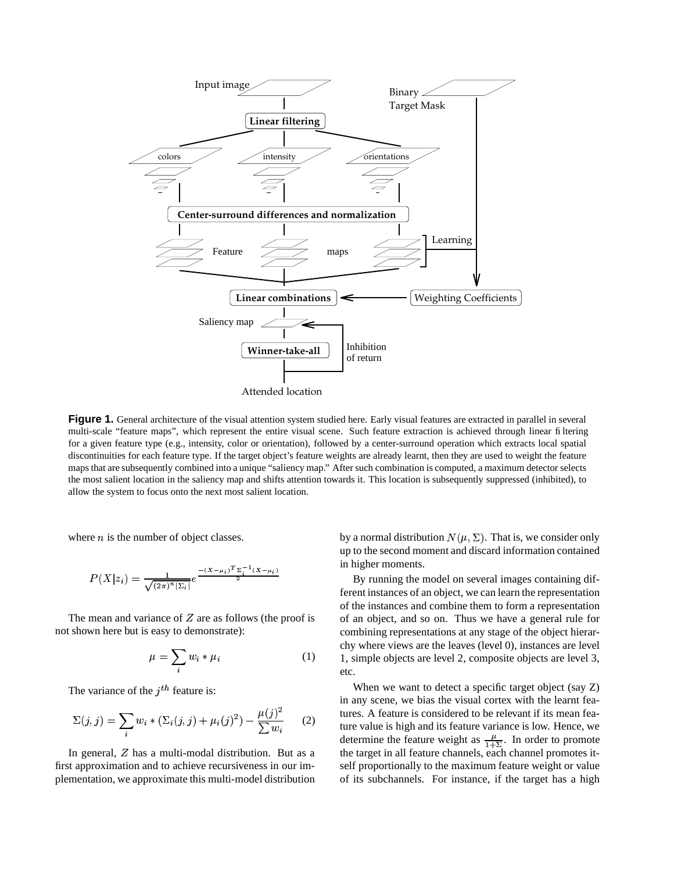

**Figure 1.** General architecture of the visual attention system studied here. Early visual features are extracted in parallel in several multi-scale "feature maps", which represent the entire visual scene. Such feature extraction is achieved through linear filtering for a given feature type (e.g., intensity, color or orientation), followed by a center-surround operation which extracts local spatial discontinuities for each feature type. If the target object's feature weights are already learnt, then they are used to weight the feature maps that are subsequently combined into a unique "saliency map." Aftersuch combination is computed, a maximum detector selects the most salient location in the saliency map and shifts attention towards it. This location is subsequently suppressed (inhibited), to allow the system to focus onto the next most salient location.

where  $n$  is the number of object classes.

$$
P(X|z_i) = \frac{1}{\sqrt{(2\pi)^n |\Sigma_i|}} e^{\frac{-(X-\mu_i)^T \Sigma_i^{-1} (X-\mu_i)}{2}}
$$

The mean and variance of  $Z$  are as follows (the proof is not shown here but is easy to demonstrate):

$$
\mu = \sum_{i} w_i * \mu_i \tag{1}
$$

The variance of the  $j<sup>th</sup>$  feature is:

$$
\Sigma(j,j) = \sum_{i} w_i * (\Sigma_i(j,j) + \mu_i(j)^2) - \frac{\mu(j)^2}{\sum w_i}
$$
 (2)

In general,  $Z$  has a multi-modal distribution. But as a first approximation and to achieve recursiveness in our implementation, we approximate this multi-model distribution

by a normal distribution  $N(\mu, \Sigma)$ . That is, we consider only up to the second moment and discard information contained in higher moments.

By running the model on several images containing different instances of an object, we can learn the representation of the instances and combine them to form a representation of an object, and so on. Thus we have a general rule for combining representations at any stage of the object hierarchy where views are the leaves (level 0), instances are level 1, simple objects are level 2, composite objects are level 3, etc.

 $\sum w_i$  (2) ture value is high and its feature variance is low. Hence, we When we want to detect a specific target object (say Z) in any scene, we bias the visual cortex with the learnt features. A feature is considered to be relevant if its mean feadetermine the feature weight as  $\frac{\mu}{1+\Sigma}$ . In order to promote the target in all feature channels, each channel promotes itself proportionally to the maximum feature weight or value of its subchannels. For instance, if the target has a high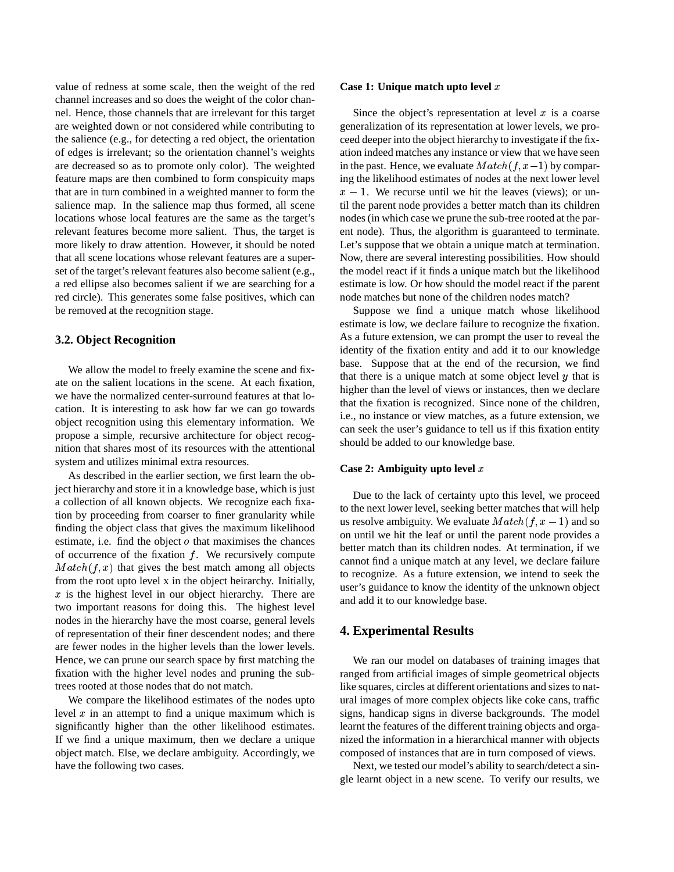value of redness at some scale, then the weight of the red channel increases and so does the weight of the color channel. Hence, those channels that are irrelevant for this target are weighted down or not considered while contributing to the salience (e.g., for detecting a red object, the orientation of edges is irrelevant; so the orientation channel's weights are decreased so as to promote only color). The weighted feature maps are then combined to form conspicuity maps that are in turn combined in a weighted manner to form the salience map. In the salience map thus formed, all scene locations whose local features are the same as the target's relevant features become more salient. Thus, the target is more likely to draw attention. However, it should be noted that all scene locations whose relevant features are a superset of the target's relevant features also become salient (e.g., a red ellipse also becomes salient if we are searching for a red circle). This generates some false positives, which can be removed at the recognition stage.

### **3.2. Object Recognition**

We allow the model to freely examine the scene and fixate on the salient locations in the scene. At each fixation, we have the normalized center-surround features at that location. It is interesting to ask how far we can go towards object recognition using this elementary information. We propose a simple, recursive architecture for object recognition that shares most of its resources with the attentional system and utilizes minimal extra resources.

As described in the earlier section, we first learn the object hierarchy and store it in a knowledge base, which is just a collection of all known objects. We recognize each fixation by proceeding from coarser to finer granularity while finding the object class that gives the maximum likelihood estimate, i.e. find the object  $o$  that maximises the chances of occurrence of the fixation  $f$ . We recursively compute  $Match(f, x)$  that gives the best match among all objects from the root upto level x in the object heirarchy. Initially,  $x$  is the highest level in our object hierarchy. There are two important reasons for doing this. The highest level nodes in the hierarchy have the most coarse, general levels of representation of their finer descendent nodes; and there are fewer nodes in the higher levels than the lower levels. Hence, we can prune our search space by first matching the fixation with the higher level nodes and pruning the subtrees rooted at those nodes that do not match.

We compare the likelihood estimates of the nodes upto level  $x$  in an attempt to find a unique maximum which is significantly higher than the other likelihood estimates. If we find a unique maximum, then we declare a unique object match. Else, we declare ambiguity. Accordingly, we have the following two cases.

#### **Case 1: Unique match upto level**

Since the object's representation at level  $x$  is a coarse generalization of its representation at lower levels, we proceed deeper into the object hierarchy to investigate if the fixation indeed matches any instance or view that we have seen in the past. Hence, we evaluate  $Match(f, x-1)$  by comparing the likelihood estimates of nodes at the next lower level  $x - 1$ . We recurse until we hit the leaves (views); or until the parent node provides a better match than its children nodes (in which case we prune the sub-tree rooted at the parent node). Thus, the algorithm is guaranteed to terminate. Let's suppose that we obtain a unique match at termination. Now, there are several interesting possibilities. How should the model react if it finds a unique match but the likelihood estimate is low. Or how should the model react if the parent node matches but none of the children nodes match?

Suppose we find a unique match whose likelihood estimate is low, we declare failure to recognize the fixation. As a future extension, we can prompt the user to reveal the identity of the fixation entity and add it to our knowledge base. Suppose that at the end of the recursion, we find that there is a unique match at some object level  $y$  that is higher than the level of views or instances, then we declare that the fixation is recognized. Since none of the children, i.e., no instance or view matches, as a future extension, we can seek the user's guidance to tell us if this fixation entity should be added to our knowledge base.

### **Case 2: Ambiguity upto level**

Due to the lack of certainty upto this level, we proceed to the next lower level, seeking better matches that will help us resolve ambiguity. We evaluate  $Match(f, x - 1)$  and so on until we hit the leaf or until the parent node provides a better match than its children nodes. At termination, if we cannot find a unique match at any level, we declare failure to recognize. As a future extension, we intend to seek the user's guidance to know the identity of the unknown object and add it to our knowledge base.

### **4. Experimental Results**

We ran our model on databases of training images that ranged from artificial images of simple geometrical objects like squares, circles at different orientations and sizes to natural images of more complex objects like coke cans, traffic signs, handicap signs in diverse backgrounds. The model learnt the features of the different training objects and organized the information in a hierarchical manner with objects composed of instances that are in turn composed of views.

Next, we tested our model's ability to search/detect a single learnt object in a new scene. To verify our results, we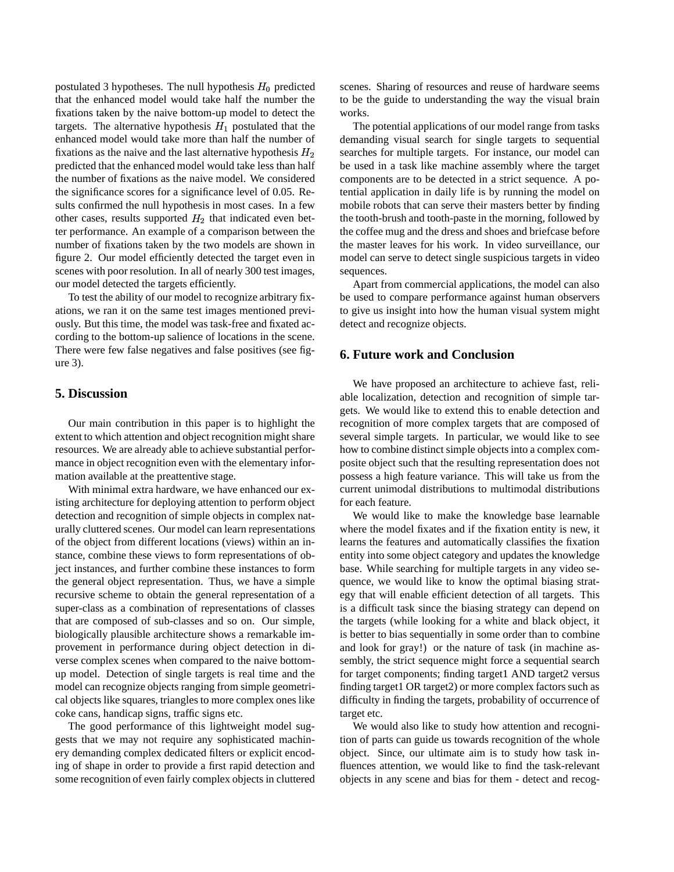postulated 3 hypotheses. The null hypothesis  $H_0$  predicted that the enhanced model would take half the number the fixations taken by the naive bottom-up model to detect the targets. The alternative hypothesis  $H_1$  postulated that the enhanced model would take more than half the number of fixations as the naive and the last alternative hypothesis  $H_2$ predicted that the enhanced model would take less than half the number of fixations as the naive model. We considered the significance scores for a significance level of 0.05. Results confirmed the null hypothesis in most cases. In a few other cases, results supported  $H_2$  that indicated even better performance. An example of a comparison between the number of fixations taken by the two models are shown in figure 2. Our model efficiently detected the target even in scenes with poor resolution. In all of nearly 300 test images, our model detected the targets efficiently.

To test the ability of our model to recognize arbitrary fixations, we ran it on the same test images mentioned previously. But this time, the model was task-free and fixated according to the bottom-up salience of locations in the scene. There were few false negatives and false positives (see figure 3).

# **5. Discussion**

Our main contribution in this paper is to highlight the extent to which attention and object recognition might share resources. We are already able to achieve substantial performance in object recognition even with the elementary information available at the preattentive stage.

With minimal extra hardware, we have enhanced our existing architecture for deploying attention to perform object detection and recognition of simple objects in complex naturally cluttered scenes. Our model can learn representations of the object from different locations (views) within an instance, combine these views to form representations of object instances, and further combine these instances to form the general object representation. Thus, we have a simple recursive scheme to obtain the general representation of a super-class as a combination of representations of classes that are composed of sub-classes and so on. Our simple, biologically plausible architecture shows a remarkable improvement in performance during object detection in diverse complex scenes when compared to the naive bottomup model. Detection of single targets is real time and the model can recognize objects ranging from simple geometrical objects like squares, triangles to more complex ones like coke cans, handicap signs, traffic signs etc.

The good performance of this lightweight model suggests that we may not require any sophisticated machinery demanding complex dedicated filters or explicit encoding of shape in order to provide a first rapid detection and some recognition of even fairly complex objects in cluttered scenes. Sharing of resources and reuse of hardware seems to be the guide to understanding the way the visual brain works.

The potential applications of our model range from tasks demanding visual search for single targets to sequential searches for multiple targets. For instance, our model can be used in a task like machine assembly where the target components are to be detected in a strict sequence. A potential application in daily life is by running the model on mobile robots that can serve their masters better by finding the tooth-brush and tooth-paste in the morning, followed by the coffee mug and the dress and shoes and briefcase before the master leaves for his work. In video surveillance, our model can serve to detect single suspicious targets in video sequences.

Apart from commercial applications, the model can also be used to compare performance against human observers to give us insight into how the human visual system might detect and recognize objects.

### **6. Future work and Conclusion**

We have proposed an architecture to achieve fast, reliable localization, detection and recognition of simple targets. We would like to extend this to enable detection and recognition of more complex targets that are composed of several simple targets. In particular, we would like to see how to combine distinct simple objects into a complex composite object such that the resulting representation does not possess a high feature variance. This will take us from the current unimodal distributions to multimodal distributions for each feature.

We would like to make the knowledge base learnable where the model fixates and if the fixation entity is new, it learns the features and automatically classifies the fixation entity into some object category and updates the knowledge base. While searching for multiple targets in any video sequence, we would like to know the optimal biasing strategy that will enable efficient detection of all targets. This is a difficult task since the biasing strategy can depend on the targets (while looking for a white and black object, it is better to bias sequentially in some order than to combine and look for gray!) or the nature of task (in machine assembly, the strict sequence might force a sequential search for target components; finding target1 AND target2 versus finding target1 OR target2) or more complex factors such as difficulty in finding the targets, probability of occurrence of target etc.

We would also like to study how attention and recognition of parts can guide us towards recognition of the whole object. Since, our ultimate aim is to study how task influences attention, we would like to find the task-relevant objects in any scene and bias for them - detect and recog-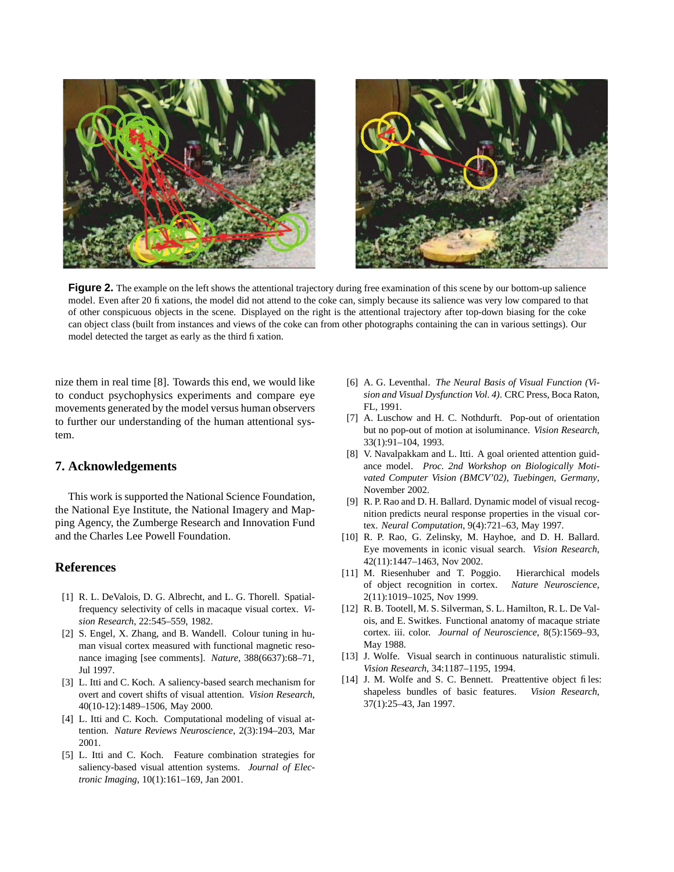

**Figure 2.** The example on the left shows the attentional trajectory during free examination of this scene by our bottom-up salience model. Even after 20 fixations, the model did not attend to the coke can, simply because its salience was very low compared to that of other conspicuous objects in the scene. Displayed on the right is the attentional trajectory after top-down biasing for the coke can object class (built from instances and views of the coke can from other photographs containing the can in various settings). Our model detected the target as early as the third fixation.

nize them in real time [8]. Towards this end, we would like to conduct psychophysics experiments and compare eye movements generated by the model versus human observers to further our understanding of the human attentional system.

# **7. Acknowledgements**

This work is supported the National Science Foundation, the National Eye Institute, the National Imagery and Mapping Agency, the Zumberge Research and Innovation Fund and the Charles Lee Powell Foundation.

### **References**

- [1] R. L. DeValois, D. G. Albrecht, and L. G. Thorell. Spatialfrequency selectivity of cells in macaque visual cortex. *Vision Research*, 22:545–559, 1982.
- [2] S. Engel, X. Zhang, and B. Wandell. Colour tuning in human visual cortex measured with functional magnetic resonance imaging [see comments]. *Nature*, 388(6637):68–71, Jul 1997.
- [3] L. Itti and C. Koch. A saliency-based search mechanism for overt and covert shifts of visual attention. *Vision Research*, 40(10-12):1489–1506, May 2000.
- [4] L. Itti and C. Koch. Computational modeling of visual attention. *Nature Reviews Neuroscience*, 2(3):194–203, Mar 2001.
- [5] L. Itti and C. Koch. Feature combination strategies for saliency-based visual attention systems. *Journal of Electronic Imaging*, 10(1):161–169, Jan 2001.
- [6] A. G. Leventhal. *The Neural Basis of Visual Function (Vision and Visual Dysfunction Vol. 4)*. CRC Press, Boca Raton, FL, 1991.
- [7] A. Luschow and H. C. Nothdurft. Pop-out of orientation but no pop-out of motion at isoluminance. *Vision Research*, 33(1):91–104, 1993.
- [8] V. Navalpakkam and L. Itti. A goal oriented attention guidance model. *Proc. 2nd Workshop on Biologically Motivated Computer Vision (BMCV'02), Tuebingen, Germany*, November 2002.
- [9] R. P. Rao and D. H. Ballard. Dynamic model of visual recognition predicts neural response properties in the visual cortex. *Neural Computation*, 9(4):721–63, May 1997.
- [10] R. P. Rao, G. Zelinsky, M. Hayhoe, and D. H. Ballard. Eye movements in iconic visual search. *Vision Research*, 42(11):1447–1463, Nov 2002.
- [11] M. Riesenhuber and T. Poggio. Hierarchical models of object recognition in cortex. *Nature Neuroscience*, 2(11):1019–1025, Nov 1999.
- [12] R. B. Tootell, M. S. Silverman, S. L. Hamilton, R. L. De Valois, and E. Switkes. Functional anatomy of macaque striate cortex. iii. color. *Journal of Neuroscience*, 8(5):1569–93, May 1988.
- [13] J. Wolfe. Visual search in continuous naturalistic stimuli. *Vision Research*, 34:1187–1195, 1994.
- [14] J. M. Wolfe and S. C. Bennett. Preattentive object files: shapeless bundles of basic features. *Vision Research*, 37(1):25–43, Jan 1997.